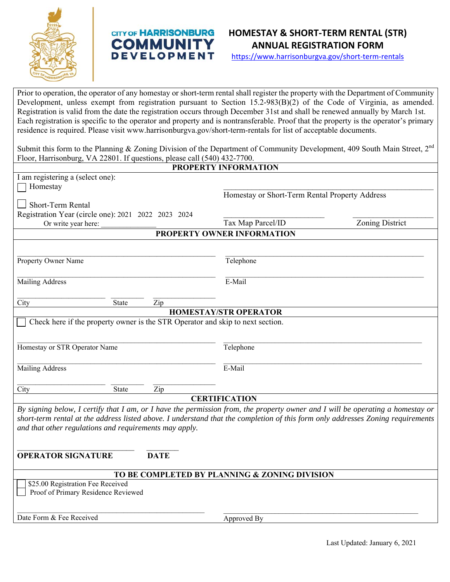

# **CITY OF HARRISONBURG COMMUNITY DEVELOPMENT**



https://www.harrisonburgva.gov/short-term-rentals

Prior to operation, the operator of any homestay or short-term rental shall register the property with the Department of Community Development, unless exempt from registration pursuant to Section 15.2-983(B)(2) of the Code of Virginia, as amended. Registration is valid from the date the registration occurs through December 31st and shall be renewed annually by March 1st. Each registration is specific to the operator and property and is nontransferable. Proof that the property is the operator's primary residence is required. Please visit www.harrisonburgva.gov/short-term-rentals for list of acceptable documents.

Submit this form to the Planning & Zoning Division of the Department of Community Development, 409 South Main Street, 2<sup>nd</sup> Floor, Harrisonburg, VA 22801. If questions, please call (540) 432-7700.

| <b>PROPERTY INFORMATION</b>                                                                                                                            |                                                                                                                                 |
|--------------------------------------------------------------------------------------------------------------------------------------------------------|---------------------------------------------------------------------------------------------------------------------------------|
| I am registering a (select one):                                                                                                                       |                                                                                                                                 |
| Homestay                                                                                                                                               |                                                                                                                                 |
|                                                                                                                                                        | Homestay or Short-Term Rental Property Address                                                                                  |
| <b>Short-Term Rental</b>                                                                                                                               |                                                                                                                                 |
| Registration Year (circle one): 2021 2022 2023 2024                                                                                                    |                                                                                                                                 |
| Or write year here:                                                                                                                                    | Tax Map Parcel/ID<br>Zoning District                                                                                            |
| PROPERTY OWNER INFORMATION                                                                                                                             |                                                                                                                                 |
|                                                                                                                                                        |                                                                                                                                 |
| Property Owner Name                                                                                                                                    | Telephone                                                                                                                       |
|                                                                                                                                                        |                                                                                                                                 |
|                                                                                                                                                        | E-Mail                                                                                                                          |
| Mailing Address                                                                                                                                        |                                                                                                                                 |
|                                                                                                                                                        |                                                                                                                                 |
| City<br>State<br>Zip                                                                                                                                   |                                                                                                                                 |
| <b>HOMESTAY/STR OPERATOR</b>                                                                                                                           |                                                                                                                                 |
| Check here if the property owner is the STR Operator and skip to next section.                                                                         |                                                                                                                                 |
|                                                                                                                                                        |                                                                                                                                 |
| Homestay or STR Operator Name                                                                                                                          | Telephone                                                                                                                       |
|                                                                                                                                                        |                                                                                                                                 |
| Mailing Address                                                                                                                                        | E-Mail                                                                                                                          |
|                                                                                                                                                        |                                                                                                                                 |
| City                                                                                                                                                   |                                                                                                                                 |
| Zip<br>State                                                                                                                                           |                                                                                                                                 |
| <b>CERTIFICATION</b><br>By signing below, I certify that I am, or I have the permission from, the property owner and I will be operating a homestay or |                                                                                                                                 |
|                                                                                                                                                        |                                                                                                                                 |
| and that other regulations and requirements may apply.                                                                                                 | short-term rental at the address listed above. I understand that the completion of this form only addresses Zoning requirements |
|                                                                                                                                                        |                                                                                                                                 |
|                                                                                                                                                        |                                                                                                                                 |
| <b>OPERATOR SIGNATURE</b><br><b>DATE</b>                                                                                                               |                                                                                                                                 |
|                                                                                                                                                        |                                                                                                                                 |
| TO BE COMPLETED BY PLANNING & ZONING DIVISION                                                                                                          |                                                                                                                                 |
| \$25.00 Registration Fee Received                                                                                                                      |                                                                                                                                 |
| Proof of Primary Residence Reviewed                                                                                                                    |                                                                                                                                 |
|                                                                                                                                                        |                                                                                                                                 |
|                                                                                                                                                        |                                                                                                                                 |
| Date Form & Fee Received                                                                                                                               | Approved By                                                                                                                     |